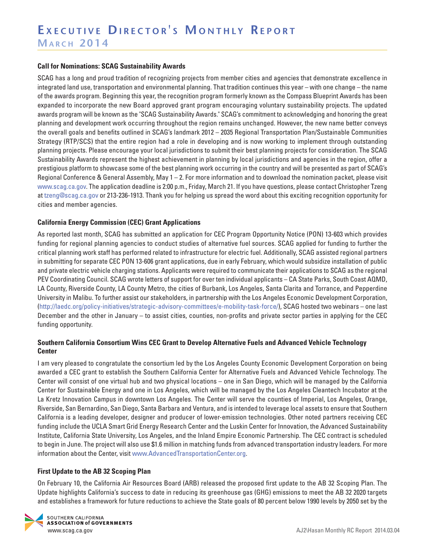#### **Call for Nominations: SCAG Sustainability Awards**

SCAG has a long and proud tradition of recognizing projects from member cities and agencies that demonstrate excellence in integrated land use, transportation and environmental planning. That tradition continues this year – with one change – the name of the awards program. Beginning this year, the recognition program formerly known as the Compass Blueprint Awards has been expanded to incorporate the new Board approved grant program encouraging voluntary sustainability projects. The updated awards program will be known as the "SCAG Sustainability Awards." SCAG's commitment to acknowledging and honoring the great planning and development work occurring throughout the region remains unchanged. However, the new name better conveys the overall goals and benefits outlined in SCAG's landmark 2012 – 2035 Regional Transportation Plan/Sustainable Communities Strategy (RTP/SCS) that the entire region had a role in developing and is now working to implement through outstanding planning projects. Please encourage your local jurisdictions to submit their best planning projects for consideration. The SCAG Sustainability Awards represent the highest achievement in planning by local jurisdictions and agencies in the region, offer a prestigious platform to showcase some of the best planning work occurring in the country and will be presented as part of SCAG's Regional Conference & General Assembly, May 1 – 2. For more information and to download the nomination packet, please visit www.scag.ca.gov. The application deadline is 2:00 p.m., Friday, March 21. If you have questions, please contact Christopher Tzeng at tzeng@scag.ca.gov or 213-236-1913. Thank you for helping us spread the word about this exciting recognition opportunity for cities and member agencies.

#### **California Energy Commission (CEC) Grant Applications**

As reported last month, SCAG has submitted an application for CEC Program Opportunity Notice (PON) 13-603 which provides funding for regional planning agencies to conduct studies of alternative fuel sources. SCAG applied for funding to further the critical planning work staff has performed related to infrastructure for electric fuel. Additionally, SCAG assisted regional partners in submitting for separate CEC PON 13-606 grant applications, due in early February, which would subsidize installation of public and private electric vehicle charging stations. Applicants were required to communicate their applications to SCAG as the regional PEV Coordinating Council. SCAG wrote letters of support for over ten individual applicants – CA State Parks, South Coast AQMD, LA County, Riverside County, LA County Metro, the cities of Burbank, Los Angeles, Santa Clarita and Torrance, and Pepperdine University in Malibu. To further assist our stakeholders, in partnership with the Los Angeles Economic Development Corporation, (http://laedc.org/policy-initiatives/strategic-advisory-committees/e-mobility-task-force/), SCAG hosted two webinars – one last December and the other in January – to assist cities, counties, non-profits and private sector parties in applying for the CEC funding opportunity.

#### **Southern California Consortium Wins CEC Grant to Develop Alternative Fuels and Advanced Vehicle Technology Center**

I am very pleased to congratulate the consortium led by the Los Angeles County Economic Development Corporation on being awarded a CEC grant to establish the Southern California Center for Alternative Fuels and Advanced Vehicle Technology. The Center will consist of one virtual hub and two physical locations – one in San Diego, which will be managed by the California Center for Sustainable Energy and one in Los Angeles, which will be managed by the Los Angeles Cleantech Incubator at the La Kretz Innovation Campus in downtown Los Angeles. The Center will serve the counties of Imperial, Los Angeles, Orange, Riverside, San Bernardino, San Diego, Santa Barbara and Ventura, and is intended to leverage local assets to ensure that Southern California is a leading developer, designer and producer of lower-emission technologies. Other noted partners receiving CEC funding include the UCLA Smart Grid Energy Research Center and the Luskin Center for Innovation, the Advanced Sustainability Institute, California State University, Los Angeles, and the Inland Empire Economic Partnership. The CEC contract is scheduled to begin in June. The project will also use \$1.6 million in matching funds from advanced transportation industry leaders. For more information about the Center, visit www.AdvancedTransportationCenter.org.

#### **First Update to the AB 32 Scoping Plan**

On February 10, the California Air Resources Board (ARB) released the proposed first update to the AB 32 Scoping Plan. The Update highlights California's success to date in reducing its greenhouse gas (GHG) emissions to meet the AB 32 2020 targets and establishes a framework for future reductions to achieve the State goals of 80 percent below 1990 levels by 2050 set by the

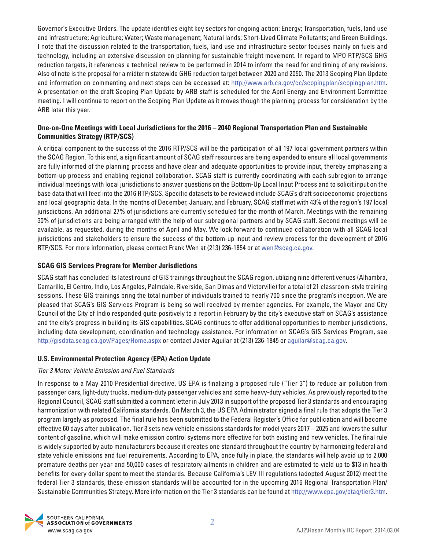Governor's Executive Orders. The update identifies eight key sectors for ongoing action: Energy; Transportation, fuels, land use and infrastructure; Agriculture; Water; Waste management; Natural lands; Short-Lived Climate Pollutants; and Green Buildings. I note that the discussion related to the transportation, fuels, land use and infrastructure sector focuses mainly on fuels and technology, including an extensive discussion on planning for sustainable freight movement. In regard to MPO RTP/SCS GHG reduction targets, it references a technical review to be performed in 2014 to inform the need for and timing of any revisions. Also of note is the proposal for a midterm statewide GHG reduction target between 2020 and 2050. The 2013 Scoping Plan Update and information on commenting and next steps can be accessed at: http://www.arb.ca.gov/cc/scopingplan/scopingplan.htm. A presentation on the draft Scoping Plan Update by ARB staff is scheduled for the April Energy and Environment Committee meeting. I will continue to report on the Scoping Plan Update as it moves though the planning process for consideration by the ARB later this year.

## **One-on-One Meetings with Local Jurisdictions for the 2016 – 2040 Regional Transportation Plan and Sustainable Communities Strategy (RTP/SCS)**

A critical component to the success of the 2016 RTP/SCS will be the participation of all 197 local government partners within the SCAG Region. To this end, a significant amount of SCAG staff resources are being expended to ensure all local governments are fully informed of the planning process and have clear and adequate opportunities to provide input, thereby emphasizing a bottom-up process and enabling regional collaboration. SCAG staff is currently coordinating with each subregion to arrange individual meetings with local jurisdictions to answer questions on the Bottom-Up Local Input Process and to solicit input on the base data that will feed into the 2016 RTP/SCS. Specific datasets to be reviewed include SCAG's draft socioeconomic projections and local geographic data. In the months of December, January, and February, SCAG staff met with 43% of the region's 197 local jurisdictions. An additional 27% of jurisdictions are currently scheduled for the month of March. Meetings with the remaining 30% of jurisdictions are being arranged with the help of our subregional partners and by SCAG staff. Second meetings will be available, as requested, during the months of April and May. We look forward to continued collaboration with all SCAG local jurisdictions and stakeholders to ensure the success of the bottom-up input and review process for the development of 2016 RTP/SCS. For more information, please contact Frank Wen at (213) 236-1854 or at wen@scag.ca.gov.

## **SCAG GIS Services Program for Member Jurisdictions**

SCAG staff has concluded its latest round of GIS trainings throughout the SCAG region, utilizing nine different venues (Alhambra, Camarillo, El Centro, Indio, Los Angeles, Palmdale, Riverside, San Dimas and Victorville) for a total of 21 classroom-style training sessions. These GIS trainings bring the total number of individuals trained to nearly 700 since the program's inception. We are pleased that SCAG's GIS Services Program is being so well received by member agencies. For example, the Mayor and City Council of the City of Indio responded quite positively to a report in February by the city's executive staff on SCAG's assistance and the city's progress in building its GIS capabilities. SCAG continues to offer additional opportunities to member jurisdictions, including data development, coordination and technology assistance. For information on SCAG's GIS Services Program, see http://gisdata.scag.ca.gov/Pages/Home.aspx or contact Javier Aguilar at (213) 236-1845 or aguilar@scag.ca.gov.

## **U.S. Environmental Protection Agency (EPA) Action Update**

## Tier 3 Motor Vehicle Emission and Fuel Standards

In response to a May 2010 Presidential directive, US EPA is finalizing a proposed rule ("Tier 3") to reduce air pollution from passenger cars, light-duty trucks, medium-duty passenger vehicles and some heavy-duty vehicles. As previously reported to the Regional Council, SCAG staff submitted a comment letter in July 2013 in support of the proposed Tier 3 standards and encouraging harmonization with related California standards. On March 3, the US EPA Administrator signed a final rule that adopts the Tier 3 program largely as proposed. The final rule has been submitted to the Federal Register's Office for publication and will become effective 60 days after publication. Tier 3 sets new vehicle emissions standards for model years 2017 – 2025 and lowers the sulfur content of gasoline, which will make emission control systems more effective for both existing and new vehicles. The final rule is widely supported by auto manufacturers because it creates one standard throughout the country by harmonizing federal and state vehicle emissions and fuel requirements. According to EPA, once fully in place, the standards will help avoid up to 2,000 premature deaths per year and 50,000 cases of respiratory ailments in children and are estimated to yield up to \$13 in health benefits for every dollar spent to meet the standards. Because California's LEV III regulations (adopted August 2012) meet the federal Tier 3 standards, these emission standards will be accounted for in the upcoming 2016 Regional Transportation Plan/ Sustainable Communities Strategy. More information on the Tier 3 standards can be found at http://www.epa.gov/otaq/tier3.htm.